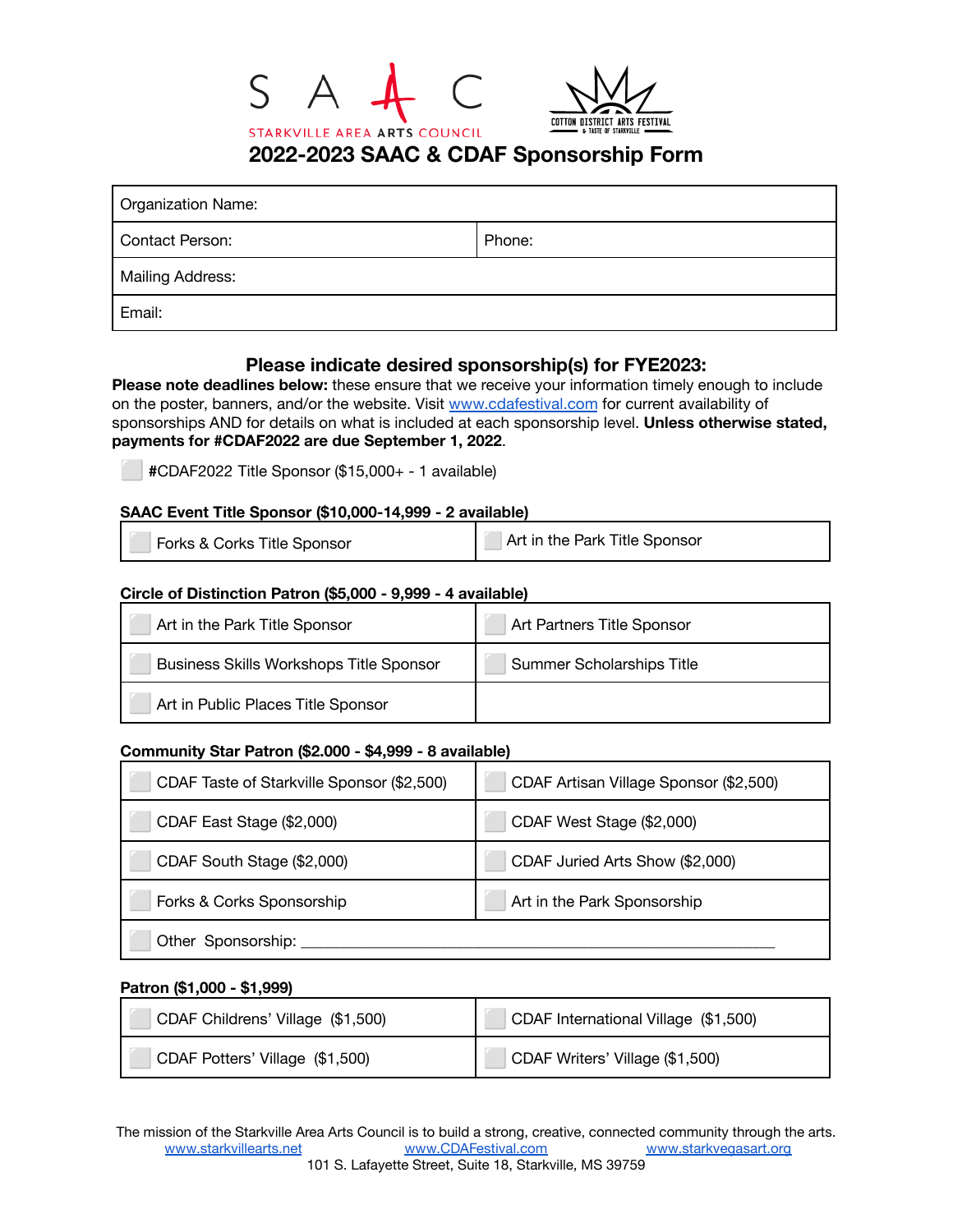



**2022-2023 SAAC & CDAF Sponsorship Form**

| Organization Name:     |        |
|------------------------|--------|
| <b>Contact Person:</b> | Phone: |
| Mailing Address:       |        |
| Email:                 |        |

# **Please indicate desired sponsorship(s) for FYE2023:**

**Please note deadlines below:** these ensure that we receive your information timely enough to include on the poster, banners, and/or the website. Visit [www.cdafestival.com](http://www.cdafestival.com) for current availability of sponsorships AND for details on what is included at each sponsorship level. **Unless otherwise stated, payments for #CDAF2022 are due September 1, 2022**.

⬜ **#**CDAF2022 Title Sponsor (\$15,000+ - 1 available)

## **SAAC Event Title Sponsor (\$10,000-14,999 - 2 available)**

| Forks & Corks Title Sponsor | Art in the Park Title Sponsor |
|-----------------------------|-------------------------------|
|-----------------------------|-------------------------------|

### **Circle of Distinction Patron (\$5,000 - 9,999 - 4 available)**

| Art in the Park Title Sponsor                  | Art Partners Title Sponsor       |
|------------------------------------------------|----------------------------------|
| <b>Business Skills Workshops Title Sponsor</b> | <b>Summer Scholarships Title</b> |
| Art in Public Places Title Sponsor             |                                  |

#### **Community Star Patron (\$2.000 - \$4,999 - 8 available)**

| CDAF Taste of Starkville Sponsor (\$2,500) | CDAF Artisan Village Sponsor (\$2,500) |
|--------------------------------------------|----------------------------------------|
| CDAF East Stage (\$2,000)                  | CDAF West Stage (\$2,000)              |
| CDAF South Stage (\$2,000)                 | CDAF Juried Arts Show (\$2,000)        |
| Forks & Corks Sponsorship                  | Art in the Park Sponsorship            |
| Other Sponsorship:                         |                                        |

#### **Patron (\$1,000 - \$1,999)**

| CDAF Childrens' Village (\$1,500) | CDAF International Village (\$1,500) |
|-----------------------------------|--------------------------------------|
| CDAF Potters' Village (\$1,500)   | CDAF Writers' Village (\$1,500)      |

The mission of the Starkville Area Arts Council is to build a strong, creative, connected community through the arts. [www.starkvillearts.net](http://www.starkvillearts.net) [www.CDAFestival.com](http://www.cdafestival.com) [www.starkvegasart.org](http://www.starkvegasart.org) 101 S. Lafayette Street, Suite 18, Starkville, MS 39759